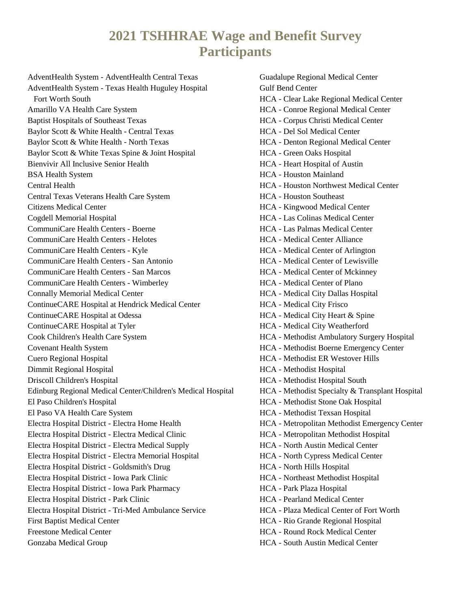## **2021 TSHHRAE Wage and Benefit Survey Participants**

AdventHealth System - AdventHealth Central Texas AdventHealth System - Texas Health Huguley Hospital Fort Worth South Amarillo VA Health Care System Baptist Hospitals of Southeast Texas Baylor Scott & White Health - Central Texas Baylor Scott & White Health - North Texas Baylor Scott & White Texas Spine & Joint Hospital Bienvivir All Inclusive Senior Health BSA Health System Central Health Central Texas Veterans Health Care System Citizens Medical Center Cogdell Memorial Hospital CommuniCare Health Centers - Boerne CommuniCare Health Centers - Helotes CommuniCare Health Centers - Kyle CommuniCare Health Centers - San Antonio CommuniCare Health Centers - San Marcos CommuniCare Health Centers - Wimberley Connally Memorial Medical Center ContinueCARE Hospital at Hendrick Medical Center ContinueCARE Hospital at Odessa ContinueCARE Hospital at Tyler Cook Children's Health Care System Covenant Health System Cuero Regional Hospital Dimmit Regional Hospital Driscoll Children's Hospital Edinburg Regional Medical Center/Children's Medical Hospital El Paso Children's Hospital El Paso VA Health Care System Electra Hospital District - Electra Home Health Electra Hospital District - Electra Medical Clinic Electra Hospital District - Electra Medical Supply Electra Hospital District - Electra Memorial Hospital Electra Hospital District - Goldsmith's Drug Electra Hospital District - Iowa Park Clinic Electra Hospital District - Iowa Park Pharmacy Electra Hospital District - Park Clinic Electra Hospital District - Tri-Med Ambulance Service First Baptist Medical Center Freestone Medical Center Gonzaba Medical Group

Guadalupe Regional Medical Center Gulf Bend Center HCA - Clear Lake Regional Medical Center HCA - Conroe Regional Medical Center HCA - Corpus Christi Medical Center HCA - Del Sol Medical Center HCA - Denton Regional Medical Center HCA - Green Oaks Hospital HCA - Heart Hospital of Austin HCA - Houston Mainland HCA - Houston Northwest Medical Center HCA - Houston Southeast HCA - Kingwood Medical Center HCA - Las Colinas Medical Center HCA - Las Palmas Medical Center HCA - Medical Center Alliance HCA - Medical Center of Arlington HCA - Medical Center of Lewisville HCA - Medical Center of Mckinney HCA - Medical Center of Plano HCA - Medical City Dallas Hospital HCA - Medical City Frisco HCA - Medical City Heart & Spine HCA - Medical City Weatherford HCA - Methodist Ambulatory Surgery Hospital HCA - Methodist Boerne Emergency Center HCA - Methodist ER Westover Hills HCA - Methodist Hospital HCA - Methodist Hospital South HCA - Methodist Specialty & Transplant Hospital HCA - Methodist Stone Oak Hospital HCA - Methodist Texsan Hospital HCA - Metropolitan Methodist Emergency Center HCA - Metropolitan Methodist Hospital HCA - North Austin Medical Center HCA - North Cypress Medical Center HCA - North Hills Hospital HCA - Northeast Methodist Hospital HCA - Park Plaza Hospital HCA - Pearland Medical Center HCA - Plaza Medical Center of Fort Worth HCA - Rio Grande Regional Hospital HCA - Round Rock Medical Center HCA - South Austin Medical Center